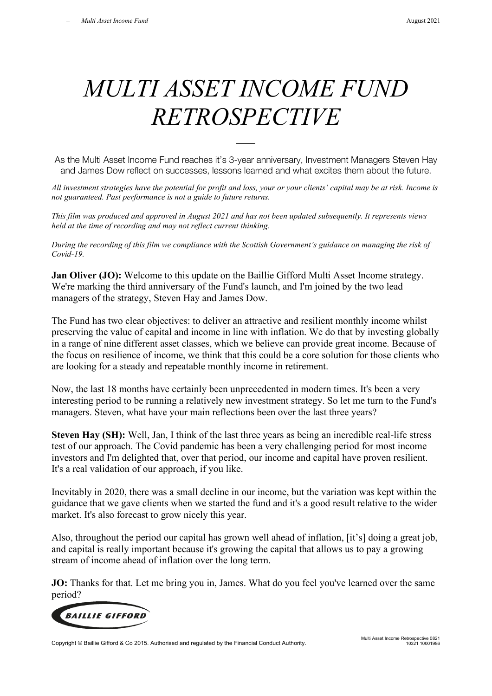## *MULTI ASSET INCOME FUND RETROSPECTIVE*

As the Multi Asset Income Fund reaches it's 3-year anniversary, Investment Managers Steven Hay and James Dow reflect on successes, lessons learned and what excites them about the future.

*All investment strategies have the potential for profit and loss, your or your clients' capital may be at risk. Income is not guaranteed. Past performance is not a guide to future returns.*

*This film was produced and approved in August 2021 and has not been updated subsequently. It represents views held at the time of recording and may not reflect current thinking.*

*During the recording of this film we compliance with the Scottish Government's guidance on managing the risk of Covid-19.*

**Jan Oliver (JO):** Welcome to this update on the Baillie Gifford Multi Asset Income strategy. We're marking the third anniversary of the Fund's launch, and I'm joined by the two lead managers of the strategy, Steven Hay and James Dow.

The Fund has two clear objectives: to deliver an attractive and resilient monthly income whilst preserving the value of capital and income in line with inflation. We do that by investing globally in a range of nine different asset classes, which we believe can provide great income. Because of the focus on resilience of income, we think that this could be a core solution for those clients who are looking for a steady and repeatable monthly income in retirement.

Now, the last 18 months have certainly been unprecedented in modern times. It's been a very interesting period to be running a relatively new investment strategy. So let me turn to the Fund's managers. Steven, what have your main reflections been over the last three years?

**Steven Hay (SH):** Well, Jan, I think of the last three years as being an incredible real-life stress test of our approach. The Covid pandemic has been a very challenging period for most income investors and I'm delighted that, over that period, our income and capital have proven resilient. It's a real validation of our approach, if you like.

Inevitably in 2020, there was a small decline in our income, but the variation was kept within the guidance that we gave clients when we started the fund and it's a good result relative to the wider market. It's also forecast to grow nicely this year.

Also, throughout the period our capital has grown well ahead of inflation, [it's] doing a great job, and capital is really important because it's growing the capital that allows us to pay a growing stream of income ahead of inflation over the long term.

**JO:** Thanks for that. Let me bring you in, James. What do you feel you've learned over the same period?



Copyright © Baillie Gifford & Co 2015. Authorised and regulated by the Financial Conduct Authority.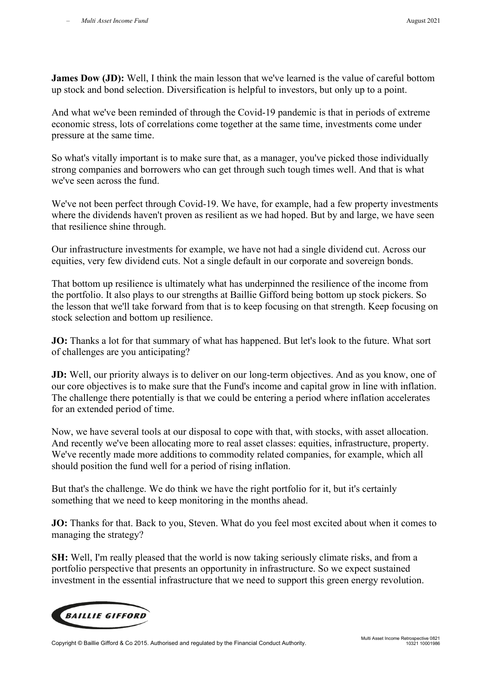**James Dow (JD):** Well, I think the main lesson that we've learned is the value of careful bottom up stock and bond selection. Diversification is helpful to investors, but only up to a point.

And what we've been reminded of through the Covid-19 pandemic is that in periods of extreme economic stress, lots of correlations come together at the same time, investments come under pressure at the same time.

So what's vitally important is to make sure that, as a manager, you've picked those individually strong companies and borrowers who can get through such tough times well. And that is what we've seen across the fund.

We've not been perfect through Covid-19. We have, for example, had a few property investments where the dividends haven't proven as resilient as we had hoped. But by and large, we have seen that resilience shine through.

Our infrastructure investments for example, we have not had a single dividend cut. Across our equities, very few dividend cuts. Not a single default in our corporate and sovereign bonds.

That bottom up resilience is ultimately what has underpinned the resilience of the income from the portfolio. It also plays to our strengths at Baillie Gifford being bottom up stock pickers. So the lesson that we'll take forward from that is to keep focusing on that strength. Keep focusing on stock selection and bottom up resilience.

**JO:** Thanks a lot for that summary of what has happened. But let's look to the future. What sort of challenges are you anticipating?

**JD:** Well, our priority always is to deliver on our long-term objectives. And as you know, one of our core objectives is to make sure that the Fund's income and capital grow in line with inflation. The challenge there potentially is that we could be entering a period where inflation accelerates for an extended period of time.

Now, we have several tools at our disposal to cope with that, with stocks, with asset allocation. And recently we've been allocating more to real asset classes: equities, infrastructure, property. We've recently made more additions to commodity related companies, for example, which all should position the fund well for a period of rising inflation.

But that's the challenge. We do think we have the right portfolio for it, but it's certainly something that we need to keep monitoring in the months ahead.

**JO:** Thanks for that. Back to you, Steven. What do you feel most excited about when it comes to managing the strategy?

**SH:** Well, I'm really pleased that the world is now taking seriously climate risks, and from a portfolio perspective that presents an opportunity in infrastructure. So we expect sustained investment in the essential infrastructure that we need to support this green energy revolution.



Copyright © Baillie Gifford & Co 2015. Authorised and regulated by the Financial Conduct Authority.